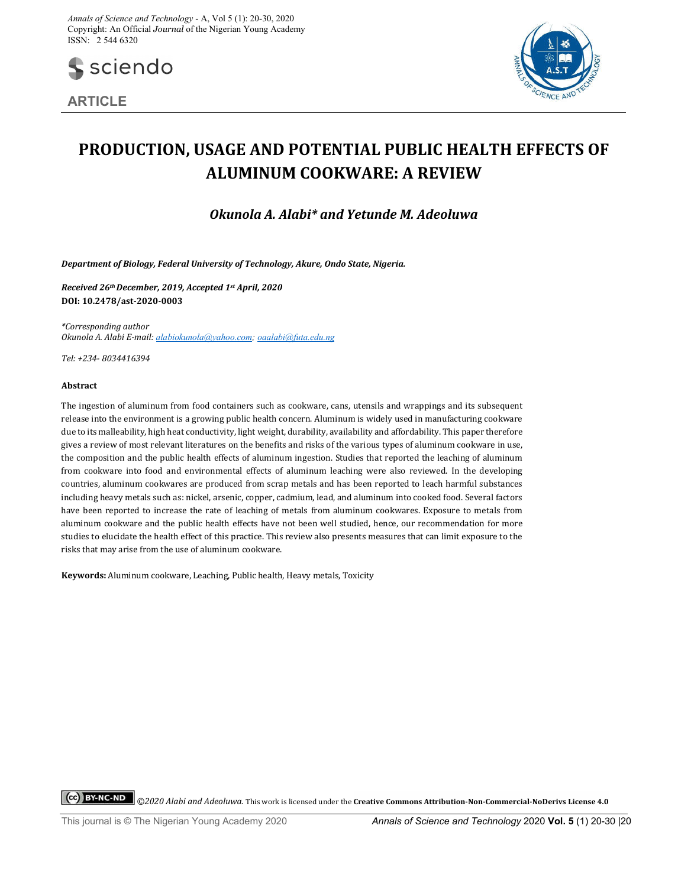

**ARTICLE**



# **PRODUCTION, USAGE AND POTENTIAL PUBLIC HEALTH EFFECTS OF ALUMINUM COOKWARE: A REVIEW**

*Okunola A. Alabi\* and Yetunde M. Adeoluwa*

*Department of Biology, Federal University of Technology, Akure, Ondo State, Nigeria.*

*Received 26thDecember, 2019, Accepted 1st April, 2020* **DOI: 10.2478/ast-2020-0003**

*\*Corresponding author Okunola A. Alabi E-mail: alabiokunola@yahoo.com; oaalabi@futa.edu.ng*

*Tel: +234- 8034416394*

## **Abstract**

The ingestion of aluminum from food containers such as cookware, cans, utensils and wrappings and its subsequent release into the environment is a growing public health concern. Aluminum is widely used in manufacturing cookware due to its malleability, high heat conductivity, light weight, durability, availability and affordability. This paper therefore gives a review of most relevant literatures on the benefits and risks of the various types of aluminum cookware in use, the composition and the public health effects of aluminum ingestion. Studies that reported the leaching of aluminum from cookware into food and environmental effects of aluminum leaching were also reviewed. In the developing countries, aluminum cookwares are produced from scrap metals and has been reported to leach harmful substances including heavy metals such as: nickel, arsenic, copper, cadmium, lead, and aluminum into cooked food. Several factors have been reported to increase the rate of leaching of metals from aluminum cookwares. Exposure to metals from aluminum cookware and the public health effects have not been well studied, hence, our recommendation for more studies to elucidate the health effect of this practice. This review also presents measures that can limit exposure to the risks that may arise from the use of aluminum cookware.

**Keywords:** Aluminum cookware, Leaching, Public health, Heavy metals, Toxicity

*©2020 Alabi and Adeoluwa.* This work is licensed under the **Creative Commons Attribution-Non-Commercial-NoDerivs License 4.0**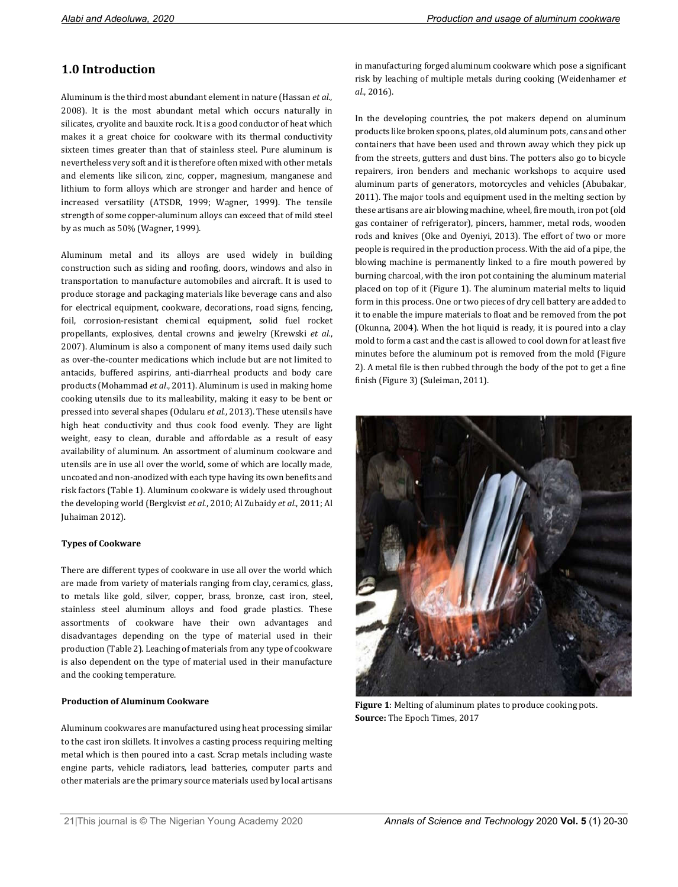# **1.0 Introduction**

Aluminum is the third most abundant element in nature (Hassan *et al*., 2008). It is the most abundant metal which occurs naturally in silicates, cryolite and bauxite rock. It is a good conductor of heat which makes it a great choice for cookware with its thermal conductivity sixteen times greater than that of stainless steel. Pure aluminum is nevertheless very soft and it is therefore often mixed with other metals and elements like silicon, zinc, copper, magnesium, manganese and lithium to form alloys which are stronger and harder and hence of increased versatility (ATSDR, 1999; Wagner, 1999). The tensile strength of some copper-aluminum alloys can exceed that of mild steel by as much as 50% (Wagner, 1999).

Aluminum metal and its alloys are used widely in building construction such as siding and roofing, doors, windows and also in transportation to manufacture automobiles and aircraft. It is used to produce storage and packaging materials like beverage cans and also for electrical equipment, cookware, decorations, road signs, fencing, foil, corrosion-resistant chemical equipment, solid fuel rocket propellants, explosives, dental crowns and jewelry (Krewski *et al.*, 2007). Aluminum is also a component of many items used daily such as over-the-counter medications which include but are not limited to antacids, buffered aspirins, anti-diarrheal products and body care products (Mohammad *et al*., 2011). Aluminum is used in making home cooking utensils due to its malleability, making it easy to be bent or pressed into several shapes (Odularu *et al*., 2013). These utensils have high heat conductivity and thus cook food evenly. They are light weight, easy to clean, durable and affordable as a result of easy availability of aluminum. An assortment of aluminum cookware and utensils are in use all over the world, some of which are locally made, uncoated and non-anodized with each type having its own benefits and risk factors (Table 1). Aluminum cookware is widely used throughout the developing world (Bergkvist *et al*., 2010; Al Zubaidy *et al*., 2011; Al Juhaiman 2012).

## **Types of Cookware**

There are different types of cookware in use all over the world which are made from variety of materials ranging from clay, ceramics, glass, to metals like gold, silver, copper, brass, bronze, cast iron, steel, stainless steel aluminum alloys and food grade plastics. These assortments of cookware have their own advantages and disadvantages depending on the type of material used in their production (Table 2). Leaching of materials from any type of cookware is also dependent on the type of material used in their manufacture and the cooking temperature.

## **Production of Aluminum Cookware**

Aluminum cookwares are manufactured using heat processing similar to the cast iron skillets. It involves a casting process requiring melting metal which is then poured into a cast. Scrap metals including waste engine parts, vehicle radiators, lead batteries, computer parts and other materials are the primary source materials used by local artisans in manufacturing forged aluminum cookware which pose a significant risk by leaching of multiple metals during cooking (Weidenhamer *et al*., 2016).

In the developing countries, the pot makers depend on aluminum products like broken spoons, plates, old aluminum pots, cans and other containers that have been used and thrown away which they pick up from the streets, gutters and dust bins. The potters also go to bicycle repairers, iron benders and mechanic workshops to acquire used aluminum parts of generators, motorcycles and vehicles (Abubakar, 2011). The major tools and equipment used in the melting section by these artisans are air blowing machine, wheel, fire mouth, iron pot (old gas container of refrigerator), pincers, hammer, metal rods, wooden rods and knives (Oke and Oyeniyi, 2013). The effort of two or more people is required in the production process. With the aid of a pipe, the blowing machine is permanently linked to a fire mouth powered by burning charcoal, with the iron pot containing the aluminum material placed on top of it (Figure 1). The aluminum material melts to liquid form in this process. One or two pieces of dry cell battery are added to it to enable the impure materials to float and be removed from the pot (Okunna, 2004). When the hot liquid is ready, it is poured into a clay mold to form a cast and the cast is allowed to cool down for at least five minutes before the aluminum pot is removed from the mold (Figure 2). A metal file is then rubbed through the body of the pot to get a fine finish (Figure 3) (Suleiman, 2011).



**Figure 1**: Melting of aluminum plates to produce cooking pots. **Source:** The Epoch Times, 2017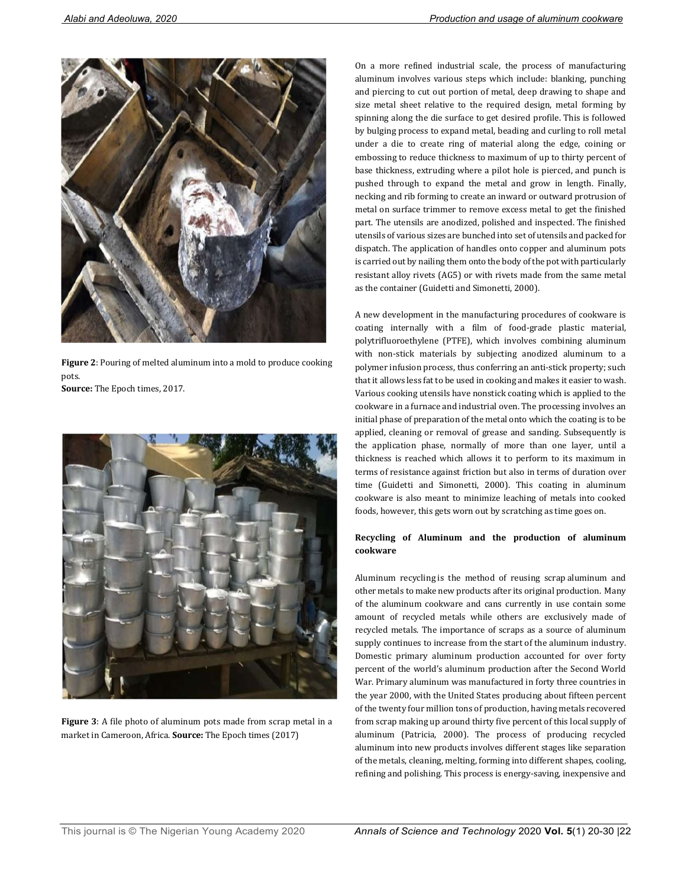

**Figure 2**: Pouring of melted aluminum into a mold to produce cooking pots.

**Source:** The Epoch times, 2017.



**Figure 3**: A file photo of aluminum pots made from scrap metal in a market in Cameroon, Africa. **Source:** The Epoch times (2017)

On a more refined industrial scale, the process of manufacturing aluminum involves various steps which include: blanking, punching and piercing to cut out portion of metal, deep drawing to shape and size metal sheet relative to the required design, metal forming by spinning along the die surface to get desired profile. This is followed by bulging process to expand metal, beading and curling to roll metal under a die to create ring of material along the edge, coining or embossing to reduce thickness to maximum of up to thirty percent of base thickness, extruding where a pilot hole is pierced, and punch is pushed through to expand the metal and grow in length. Finally, necking and rib forming to create an inward or outward protrusion of metal on surface trimmer to remove excess metal to get the finished part. The utensils are anodized, polished and inspected. The finished utensils of various sizes are bunched into set of utensils and packed for dispatch. The application of handles onto copper and aluminum pots is carried out by nailing them onto the body of the pot with particularly resistant alloy rivets (AG5) or with rivets made from the same metal as the container (Guidetti and Simonetti, 2000).

A new development in the manufacturing procedures of cookware is coating internally with a film of food-grade plastic material, polytrifluoroethylene (PTFE), which involves combining aluminum with non-stick materials by subjecting anodized aluminum to a polymer infusion process, thus conferring an anti-stick property; such that it allows less fat to be used in cooking and makes it easier to wash. Various cooking utensils have nonstick coating which is applied to the cookware in a furnace and industrial oven. The processing involves an initial phase of preparation of the metal onto which the coating is to be applied, cleaning or removal of grease and sanding. Subsequently is the application phase, normally of more than one layer, until a thickness is reached which allows it to perform to its maximum in terms of resistance against friction but also in terms of duration over time (Guidetti and Simonetti, 2000). This coating in aluminum cookware is also meant to minimize leaching of metals into cooked foods, however, this gets worn out by scratching as time goes on.

## **Recycling of Aluminum and the production of aluminum cookware**

Aluminum recycling is the method of reusing scrap aluminum and other metals to make new products after its original production. Many of the aluminum cookware and cans currently in use contain some amount of recycled metals while others are exclusively made of recycled metals. The importance of scraps as a source of aluminum supply continues to increase from the start of the aluminum industry. Domestic primary aluminum production accounted for over forty percent of the world's aluminum production after the Second World War. Primary aluminum was manufactured in forty three countries in the year 2000, with the United States producing about fifteen percent of the twenty four million tons of production, having metals recovered from scrap making up around thirty five percent of this local supply of aluminum (Patricia, 2000). The process of producing recycled aluminum into new products involves different stages like separation of the metals, cleaning, melting, forming into different shapes, cooling, refining and polishing. This process is energy-saving, inexpensive and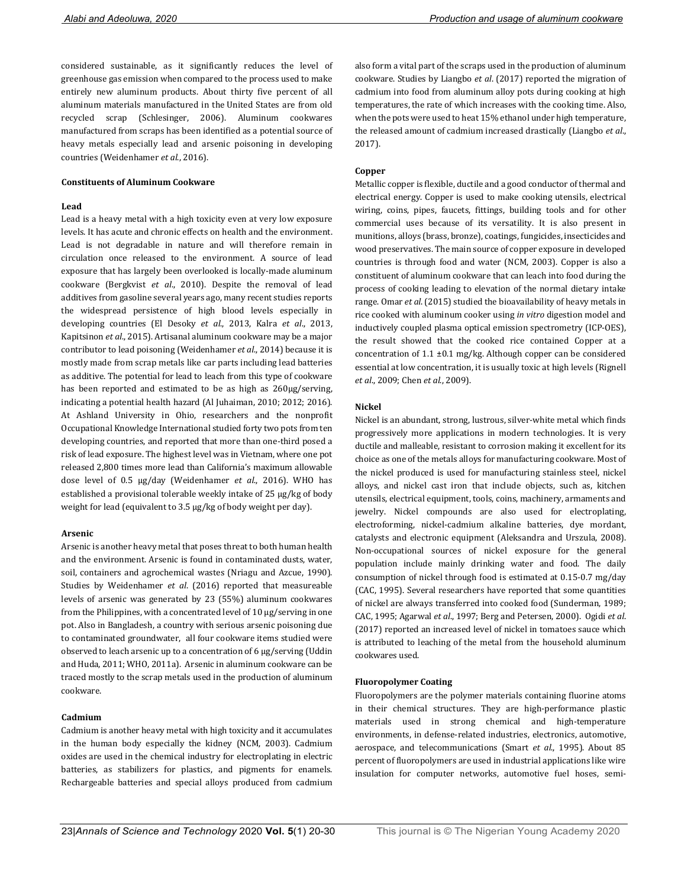considered sustainable, as it significantly reduces the level of greenhouse gas emission when compared to the process used to make entirely new aluminum products. About thirty five percent of all aluminum materials manufactured in the United States are from old recycled scrap (Schlesinger, 2006). Aluminum cookwares manufactured from scraps has been identified as a potential source of heavy metals especially lead and arsenic poisoning in developing countries (Weidenhamer *et al*., 2016).

#### **Constituents of Aluminum Cookware**

#### **Lead**

Lead is a heavy metal with a high toxicity even at very low exposure levels. It has acute and chronic effects on health and the environment. Lead is not degradable in nature and will therefore remain in circulation once released to the environment. A source of lead exposure that has largely been overlooked is locally-made aluminum cookware (Bergkvist *et al*., 2010). Despite the removal of lead additives from gasoline several years ago, many recent studies reports the widespread persistence of high blood levels especially in developing countries (El Desoky *et al*., 2013, Kalra *et al*., 2013, Kapitsinon *et al*., 2015). Artisanal aluminum cookware may be a major contributor to lead poisoning (Weidenhamer *et al*., 2014) because it is mostly made from scrap metals like car parts including lead batteries as additive. The potential for lead to leach from this type of cookware has been reported and estimated to be as high as  $260 \mu g/s$ erving, indicating a potential health hazard (Al Juhaiman, 2010; 2012; 2016). At Ashland University in Ohio, researchers and the nonprofit Occupational Knowledge International studied forty two pots from ten developing countries, and reported that more than one-third posed a risk of lead exposure. The highest level was in Vietnam, where one pot released 2,800 times more lead than California's maximum allowable dose level of 0.5 µg/day (Weidenhamer *et al*., 2016). WHO has established a provisional tolerable weekly intake of 25 µg/kg of body weight for lead (equivalent to 3.5 µg/kg of body weight per day).

#### **Arsenic**

Arsenic is another heavy metal that poses threat to both human health and the environment. Arsenic is found in contaminated dusts, water, soil, containers and agrochemical wastes (Nriagu and Azcue, 1990). Studies by Weidenhamer *et al*. (2016) reported that measureable levels of arsenic was generated by 23 (55%) aluminum cookwares from the Philippines, with a concentrated level of 10 μg/serving in one pot. Also in Bangladesh, a country with serious arsenic poisoning due to contaminated groundwater, all four cookware items studied were observed to leach arsenic up to a concentration of 6 μg/serving (Uddin and Huda, 2011; WHO, 2011a). Arsenic in aluminum cookware can be traced mostly to the scrap metals used in the production of aluminum cookware.

#### **Cadmium**

Cadmium is another heavy metal with high toxicity and it accumulates in the human body especially the kidney (NCM, 2003). Cadmium oxides are used in the chemical industry for electroplating in electric batteries, as stabilizers for plastics, and pigments for enamels. Rechargeable batteries and special alloys produced from cadmium

cookwares used.

## **Fluoropolymer Coating**

Fluoropolymers are the polymer materials containing fluorine atoms in their chemical structures. They are high-performance plastic materials used in strong chemical and high-temperature environments, in defense-related industries, electronics, automotive, aerospace, and telecommunications (Smart *et al*., 1995). About 85 percent of fluoropolymers are used in industrial applications like wire insulation for computer networks, automotive fuel hoses, semi-

also form a vital part of the scraps used in the production of aluminum cookware. Studies by Liangbo *et al*. (2017) reported the migration of cadmium into food from aluminum alloy pots during cooking at high temperatures, the rate of which increases with the cooking time. Also, when the pots were used to heat 15% ethanol under high temperature, the released amount of cadmium increased drastically (Liangbo *et al*., 2017).

## **Copper**

Metallic copper is flexible, ductile and a good conductor of thermal and electrical energy. Copper is used to make cooking utensils, electrical wiring, coins, pipes, faucets, fittings, building tools and for other commercial uses because of its versatility. It is also present in munitions, alloys (brass, bronze), coatings, fungicides, insecticides and wood preservatives. The main source of copper exposure in developed countries is through food and water (NCM, 2003). Copper is also a constituent of aluminum cookware that can leach into food during the process of cooking leading to elevation of the normal dietary intake range. Omar *et al*. (2015) studied the bioavailability of heavy metals in rice cooked with aluminum cooker using *in vitro* digestion model and inductively coupled plasma optical emission spectrometry (ICP-OES), the result showed that the cooked rice contained Copper at a concentration of 1.1 ±0.1 mg/kg. Although copper can be considered essential at low concentration, it is usually toxic at high levels (Rignell *et al*., 2009; Chen *et al*., 2009).

#### **Nickel**

Nickel is an abundant, strong, lustrous, silver-white metal which finds progressively more applications in modern technologies. It is very ductile and malleable, resistant to corrosion making it excellent for its choice as one of the metals alloys for manufacturing cookware. Most of the nickel produced is used for manufacturing stainless steel, nickel alloys, and nickel cast iron that include objects, such as, kitchen utensils, electrical equipment, tools, coins, machinery, armaments and jewelry. Nickel compounds are also used for electroplating, electroforming, nickel-cadmium alkaline batteries, dye mordant, catalysts and electronic equipment (Aleksandra and Urszula, 2008). Non-occupational sources of nickel exposure for the general population include mainly drinking water and food. The daily consumption of nickel through food is estimated at 0.15-0.7 mg/day (CAC, 1995). Several researchers have reported that some quantities of nickel are always transferred into cooked food (Sunderman, 1989; CAC, 1995; Agarwal *et al*., 1997; Berg and Petersen, 2000). Ogidi *et al*. (2017) reported an increased level of nickel in tomatoes sauce which is attributed to leaching of the metal from the household aluminum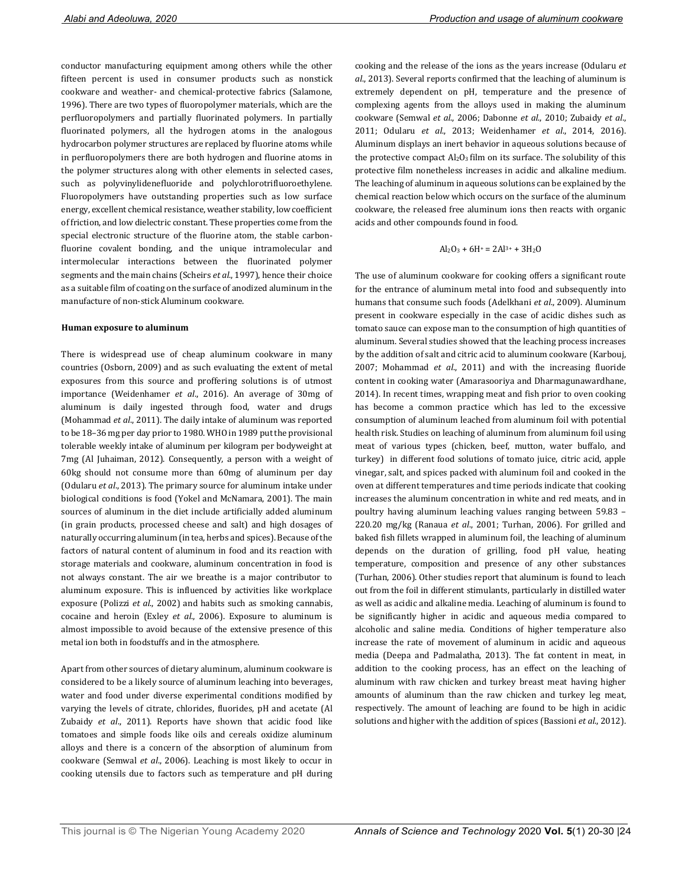conductor manufacturing equipment among others while the other fifteen percent is used in consumer products such as nonstick cookware and weather- and chemical-protective fabrics (Salamone, 1996). There are two types of fluoropolymer materials, which are the perfluoropolymers and partially fluorinated polymers. In partially fluorinated polymers, all the hydrogen atoms in the analogous hydrocarbon polymer structures are replaced by fluorine atoms while in perfluoropolymers there are both hydrogen and fluorine atoms in the polymer structures along with other elements in selected cases, such as polyvinylidenefluoride and polychlorotrifluoroethylene. Fluoropolymers have outstanding properties such as low surface energy, excellent chemical resistance, weather stability, low coefficient of friction, and low dielectric constant. These properties come from the special electronic structure of the fluorine atom, the stable carbonfluorine covalent bonding, and the unique intramolecular and intermolecular interactions between the fluorinated polymer segments and the main chains (Scheirs *et al*., 1997), hence their choice as a suitable film of coating on the surface of anodized aluminum in the manufacture of non-stick Aluminum cookware.

#### **Human exposure to aluminum**

There is widespread use of cheap aluminum cookware in many countries (Osborn, 2009) and as such evaluating the extent of metal exposures from this source and proffering solutions is of utmost importance (Weidenhamer *et al*., 2016). An average of 30mg of aluminum is daily ingested through food, water and drugs (Mohammad *et al*., 2011). The daily intake of aluminum was reported to be 18–36 mg per day prior to 1980. WHO in 1989 put the provisional tolerable weekly intake of aluminum per kilogram per bodyweight at 7mg (Al Juhaiman, 2012). Consequently, a person with a weight of 60kg should not consume more than 60mg of aluminum per day (Odularu *et al*., 2013). The primary source for aluminum intake under biological conditions is food (Yokel and McNamara, 2001). The main sources of aluminum in the diet include artificially added aluminum (in grain products, processed cheese and salt) and high dosages of naturally occurring aluminum (in tea, herbs and spices). Because of the factors of natural content of aluminum in food and its reaction with storage materials and cookware, aluminum concentration in food is not always constant. The air we breathe is a major contributor to aluminum exposure. This is influenced by activities like workplace exposure (Polizzi *et al*., 2002) and habits such as smoking cannabis, cocaine and heroin (Exley *et al*., 2006). Exposure to aluminum is almost impossible to avoid because of the extensive presence of this metal ion both in foodstuffs and in the atmosphere.

Apart from other sources of dietary aluminum, aluminum cookware is considered to be a likely source of aluminum leaching into beverages, water and food under diverse experimental conditions modified by varying the levels of citrate, chlorides, fluorides, pH and acetate (Al Zubaidy *et al*., 2011). Reports have shown that acidic food like tomatoes and simple foods like oils and cereals oxidize aluminum alloys and there is a concern of the absorption of aluminum from cookware (Semwal *et al*., 2006). Leaching is most likely to occur in cooking utensils due to factors such as temperature and pH during cooking and the release of the ions as the years increase (Odularu *et al*., 2013). Several reports confirmed that the leaching of aluminum is extremely dependent on pH, temperature and the presence of complexing agents from the alloys used in making the aluminum cookware (Semwal *et al*., 2006; Dabonne *et al*., 2010; Zubaidy *et al*., 2011; Odularu *et al*., 2013; Weidenhamer *et al*., 2014, 2016). Aluminum displays an inert behavior in aqueous solutions because of the protective compact  $Al_2O_3$  film on its surface. The solubility of this protective film nonetheless increases in acidic and alkaline medium. The leaching of aluminum in aqueous solutions can be explained by the chemical reaction below which occurs on the surface of the aluminum cookware, the released free aluminum ions then reacts with organic acids and other compounds found in food.

$$
Al_2O_3 + 6H^+ = 2Al^{3+} + 3H_2O
$$

The use of aluminum cookware for cooking offers a significant route for the entrance of aluminum metal into food and subsequently into humans that consume such foods (Adelkhani *et al*., 2009). Aluminum present in cookware especially in the case of acidic dishes such as tomato sauce can expose man to the consumption of high quantities of aluminum. Several studies showed that the leaching process increases by the addition of salt and citric acid to aluminum cookware (Karbouj, 2007; Mohammad *et al*., 2011) and with the increasing fluoride content in cooking water (Amarasooriya and Dharmagunawardhane, 2014). In recent times, wrapping meat and fish prior to oven cooking has become a common practice which has led to the excessive consumption of aluminum leached from aluminum foil with potential health risk. Studies on leaching of aluminum from aluminum foil using meat of various types (chicken, beef, mutton, water buffalo, and turkey) in different food solutions of tomato juice, citric acid, apple vinegar, salt, and spices packed with aluminum foil and cooked in the oven at different temperatures and time periods indicate that cooking increases the aluminum concentration in white and red meats, and in poultry having aluminum leaching values ranging between 59.83 – 220.20 mg/kg (Ranaua *et al*., 2001; Turhan, 2006). For grilled and baked fish fillets wrapped in aluminum foil, the leaching of aluminum depends on the duration of grilling, food pH value, heating temperature, composition and presence of any other substances (Turhan, 2006). Other studies report that aluminum is found to leach out from the foil in different stimulants, particularly in distilled water as well as acidic and alkaline media. Leaching of aluminum is found to be significantly higher in acidic and aqueous media compared to alcoholic and saline media. Conditions of higher temperature also increase the rate of movement of aluminum in acidic and aqueous media (Deepa and Padmalatha, 2013). The fat content in meat, in addition to the cooking process, has an effect on the leaching of aluminum with raw chicken and turkey breast meat having higher amounts of aluminum than the raw chicken and turkey leg meat, respectively. The amount of leaching are found to be high in acidic solutions and higher with the addition of spices (Bassioni *et al*., 2012).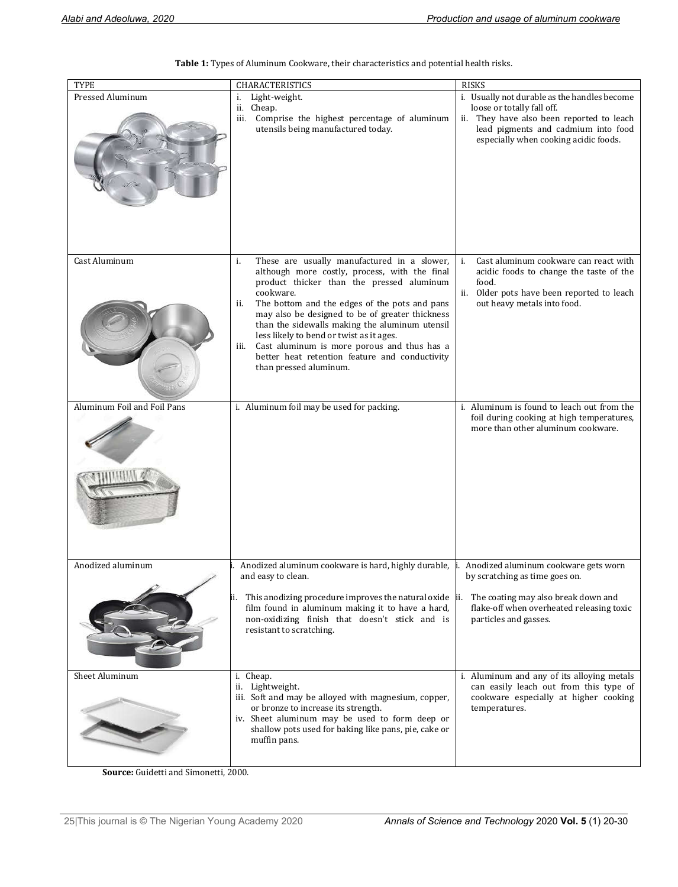| <b>TYPE</b>                 | CHARACTERISTICS                                                                                                                                                                                                                                                                                                                                                                                    | <b>RISKS</b>                                                                                                                                            |
|-----------------------------|----------------------------------------------------------------------------------------------------------------------------------------------------------------------------------------------------------------------------------------------------------------------------------------------------------------------------------------------------------------------------------------------------|---------------------------------------------------------------------------------------------------------------------------------------------------------|
| Pressed Aluminum            | Light-weight.<br>i.                                                                                                                                                                                                                                                                                                                                                                                | i. Usually not durable as the handles become                                                                                                            |
|                             | Cheap.<br>ii.<br>Comprise the highest percentage of aluminum<br>iii.<br>utensils being manufactured today.                                                                                                                                                                                                                                                                                         | loose or totally fall off.<br>ii. They have also been reported to leach<br>lead pigments and cadmium into food<br>especially when cooking acidic foods. |
| Cast Aluminum               | These are usually manufactured in a slower,<br>i.                                                                                                                                                                                                                                                                                                                                                  | Cast aluminum cookware can react with<br>i.                                                                                                             |
|                             | although more costly, process, with the final                                                                                                                                                                                                                                                                                                                                                      | acidic foods to change the taste of the                                                                                                                 |
|                             | product thicker than the pressed aluminum<br>cookware.<br>The bottom and the edges of the pots and pans<br>ii.<br>may also be designed to be of greater thickness<br>than the sidewalls making the aluminum utensil<br>less likely to bend or twist as it ages.<br>Cast aluminum is more porous and thus has a<br>iii.<br>better heat retention feature and conductivity<br>than pressed aluminum. | food.<br>ii. Older pots have been reported to leach<br>out heavy metals into food.                                                                      |
| Aluminum Foil and Foil Pans | i. Aluminum foil may be used for packing.                                                                                                                                                                                                                                                                                                                                                          | i. Aluminum is found to leach out from the                                                                                                              |
|                             |                                                                                                                                                                                                                                                                                                                                                                                                    | foil during cooking at high temperatures,<br>more than other aluminum cookware.                                                                         |
| Anodized aluminum           | Anodized aluminum cookware is hard, highly durable,                                                                                                                                                                                                                                                                                                                                                | Anodized aluminum cookware gets worn                                                                                                                    |
|                             | and easy to clean.<br>This anodizing procedure improves the natural oxide ii.<br>ii.<br>film found in aluminum making it to have a hard,<br>non-oxidizing finish that doesn't stick and is<br>resistant to scratching.                                                                                                                                                                             | by scratching as time goes on.<br>The coating may also break down and<br>flake-off when overheated releasing toxic<br>particles and gasses.             |
| Sheet Aluminum              | i. Cheap.                                                                                                                                                                                                                                                                                                                                                                                          | i. Aluminum and any of its alloying metals                                                                                                              |
|                             | ii. Lightweight.<br>iii. Soft and may be alloyed with magnesium, copper,<br>or bronze to increase its strength.<br>iv. Sheet aluminum may be used to form deep or<br>shallow pots used for baking like pans, pie, cake or<br>muffin pans.                                                                                                                                                          | can easily leach out from this type of<br>cookware especially at higher cooking<br>temperatures.                                                        |

**Table 1:** Types of Aluminum Cookware, their characteristics and potential health risks.

**Source:** Guidetti and Simonetti, 2000.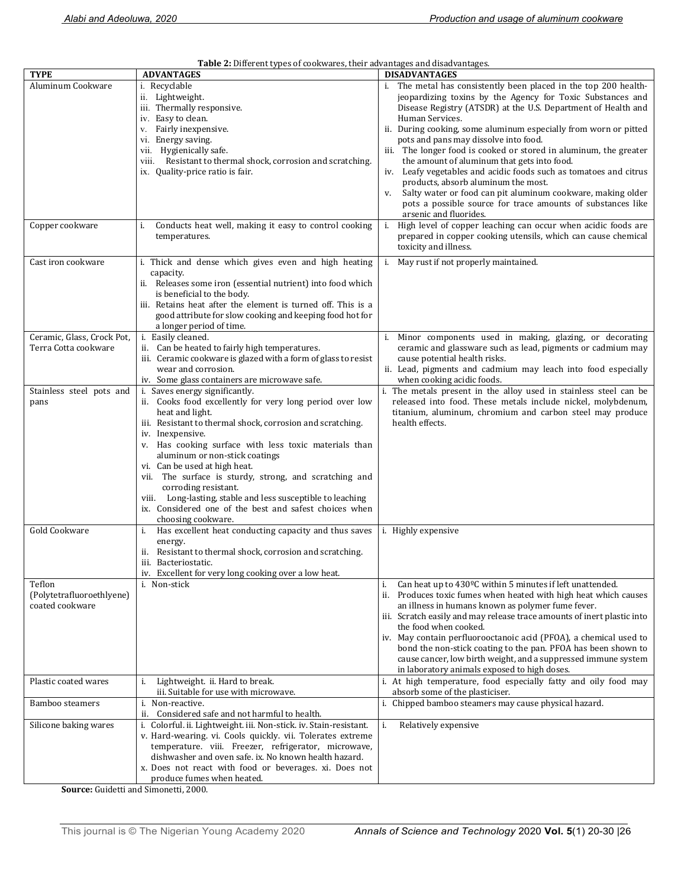| Table 2: Different types of cookwares, their advantages and disadvantages. |                                                                                         |                                                                                                                                 |  |
|----------------------------------------------------------------------------|-----------------------------------------------------------------------------------------|---------------------------------------------------------------------------------------------------------------------------------|--|
| <b>TYPE</b>                                                                | <b>ADVANTAGES</b>                                                                       | <b>DISADVANTAGES</b>                                                                                                            |  |
| Aluminum Cookware                                                          | i. Recyclable                                                                           | i. The metal has consistently been placed in the top 200 health-                                                                |  |
|                                                                            | ii. Lightweight.                                                                        | jeopardizing toxins by the Agency for Toxic Substances and                                                                      |  |
|                                                                            | iii. Thermally responsive.                                                              | Disease Registry (ATSDR) at the U.S. Department of Health and                                                                   |  |
|                                                                            | iv. Easy to clean.                                                                      | Human Services.                                                                                                                 |  |
|                                                                            | v. Fairly inexpensive.                                                                  | ii. During cooking, some aluminum especially from worn or pitted                                                                |  |
|                                                                            | vi. Energy saving.                                                                      | pots and pans may dissolve into food.                                                                                           |  |
|                                                                            | vii. Hygienically safe.                                                                 | The longer food is cooked or stored in aluminum, the greater<br>iii.                                                            |  |
|                                                                            | Resistant to thermal shock, corrosion and scratching.<br>VIII.                          | the amount of aluminum that gets into food.                                                                                     |  |
|                                                                            | ix. Quality-price ratio is fair.                                                        | Leafy vegetables and acidic foods such as tomatoes and citrus<br>iv.                                                            |  |
|                                                                            |                                                                                         | products, absorb aluminum the most.<br>Salty water or food can pit aluminum cookware, making older<br>v.                        |  |
|                                                                            |                                                                                         | pots a possible source for trace amounts of substances like                                                                     |  |
|                                                                            |                                                                                         | arsenic and fluorides.                                                                                                          |  |
| Copper cookware                                                            | Conducts heat well, making it easy to control cooking<br>i.                             | i. High level of copper leaching can occur when acidic foods are                                                                |  |
|                                                                            | temperatures.                                                                           | prepared in copper cooking utensils, which can cause chemical                                                                   |  |
|                                                                            |                                                                                         | toxicity and illness.                                                                                                           |  |
|                                                                            |                                                                                         |                                                                                                                                 |  |
| Cast iron cookware                                                         | i. Thick and dense which gives even and high heating<br>capacity.                       | i. May rust if not properly maintained.                                                                                         |  |
|                                                                            | ii. Releases some iron (essential nutrient) into food which                             |                                                                                                                                 |  |
|                                                                            | is beneficial to the body.                                                              |                                                                                                                                 |  |
|                                                                            | iii. Retains heat after the element is turned off. This is a                            |                                                                                                                                 |  |
|                                                                            | good attribute for slow cooking and keeping food hot for                                |                                                                                                                                 |  |
|                                                                            | a longer period of time.                                                                |                                                                                                                                 |  |
| Ceramic, Glass, Crock Pot,                                                 | i. Easily cleaned.                                                                      | i. Minor components used in making, glazing, or decorating                                                                      |  |
| Terra Cotta cookware                                                       | ii. Can be heated to fairly high temperatures.                                          | ceramic and glassware such as lead, pigments or cadmium may                                                                     |  |
|                                                                            | iii. Ceramic cookware is glazed with a form of glass to resist                          | cause potential health risks.                                                                                                   |  |
|                                                                            | wear and corrosion.                                                                     | ii. Lead, pigments and cadmium may leach into food especially                                                                   |  |
|                                                                            | iv. Some glass containers are microwave safe.                                           | when cooking acidic foods.                                                                                                      |  |
| Stainless steel pots and                                                   | i. Saves energy significantly.                                                          | The metals present in the alloy used in stainless steel can be<br>i.                                                            |  |
| pans                                                                       | ii. Cooks food excellently for very long period over low                                | released into food. These metals include nickel, molybdenum,                                                                    |  |
|                                                                            | heat and light.                                                                         | titanium, aluminum, chromium and carbon steel may produce                                                                       |  |
|                                                                            | iii. Resistant to thermal shock, corrosion and scratching.                              | health effects.                                                                                                                 |  |
|                                                                            | iv. Inexpensive.                                                                        |                                                                                                                                 |  |
|                                                                            | v. Has cooking surface with less toxic materials than                                   |                                                                                                                                 |  |
|                                                                            | aluminum or non-stick coatings                                                          |                                                                                                                                 |  |
|                                                                            | vi. Can be used at high heat.<br>vii. The surface is sturdy, strong, and scratching and |                                                                                                                                 |  |
|                                                                            | corroding resistant.                                                                    |                                                                                                                                 |  |
|                                                                            | Long-lasting, stable and less susceptible to leaching<br>viii.                          |                                                                                                                                 |  |
|                                                                            | ix. Considered one of the best and safest choices when                                  |                                                                                                                                 |  |
|                                                                            | choosing cookware.                                                                      |                                                                                                                                 |  |
| Gold Cookware                                                              | Has excellent heat conducting capacity and thus saves<br>i.                             | i. Highly expensive                                                                                                             |  |
|                                                                            | energy.                                                                                 |                                                                                                                                 |  |
|                                                                            | ii. Resistant to thermal shock, corrosion and scratching.                               |                                                                                                                                 |  |
|                                                                            | iii. Bacteriostatic.                                                                    |                                                                                                                                 |  |
|                                                                            | iv. Excellent for very long cooking over a low heat.                                    |                                                                                                                                 |  |
| Teflon                                                                     | i. Non-stick                                                                            | Can heat up to 430°C within 5 minutes if left unattended.<br>i.                                                                 |  |
| (Polytetrafluoroethlyene)                                                  |                                                                                         | Produces toxic fumes when heated with high heat which causes<br>ii.                                                             |  |
| coated cookware                                                            |                                                                                         | an illness in humans known as polymer fume fever.                                                                               |  |
|                                                                            |                                                                                         | iii. Scratch easily and may release trace amounts of inert plastic into                                                         |  |
|                                                                            |                                                                                         | the food when cooked.                                                                                                           |  |
|                                                                            |                                                                                         | iv. May contain perfluorooctanoic acid (PFOA), a chemical used to                                                               |  |
|                                                                            |                                                                                         | bond the non-stick coating to the pan. PFOA has been shown to<br>cause cancer, low birth weight, and a suppressed immune system |  |
|                                                                            |                                                                                         | in laboratory animals exposed to high doses.                                                                                    |  |
| Plastic coated wares                                                       | Lightweight. ii. Hard to break.<br>i.                                                   | i. At high temperature, food especially fatty and oily food may                                                                 |  |
|                                                                            | iii. Suitable for use with microwave.                                                   | absorb some of the plasticiser.                                                                                                 |  |
| Bamboo steamers                                                            | i. Non-reactive.                                                                        | i. Chipped bamboo steamers may cause physical hazard.                                                                           |  |
|                                                                            | ii.<br>Considered safe and not harmful to health.                                       |                                                                                                                                 |  |
| Silicone baking wares                                                      | i. Colorful. ii. Lightweight. iii. Non-stick. iv. Stain-resistant.                      | i.<br>Relatively expensive                                                                                                      |  |
|                                                                            | v. Hard-wearing. vi. Cools quickly. vii. Tolerates extreme                              |                                                                                                                                 |  |
|                                                                            | temperature. viii. Freezer, refrigerator, microwave,                                    |                                                                                                                                 |  |
|                                                                            | dishwasher and oven safe. ix. No known health hazard.                                   |                                                                                                                                 |  |
|                                                                            | x. Does not react with food or beverages. xi. Does not                                  |                                                                                                                                 |  |
|                                                                            | produce fumes when heated.                                                              |                                                                                                                                 |  |

**Source:** Guidetti and Simonetti, 2000.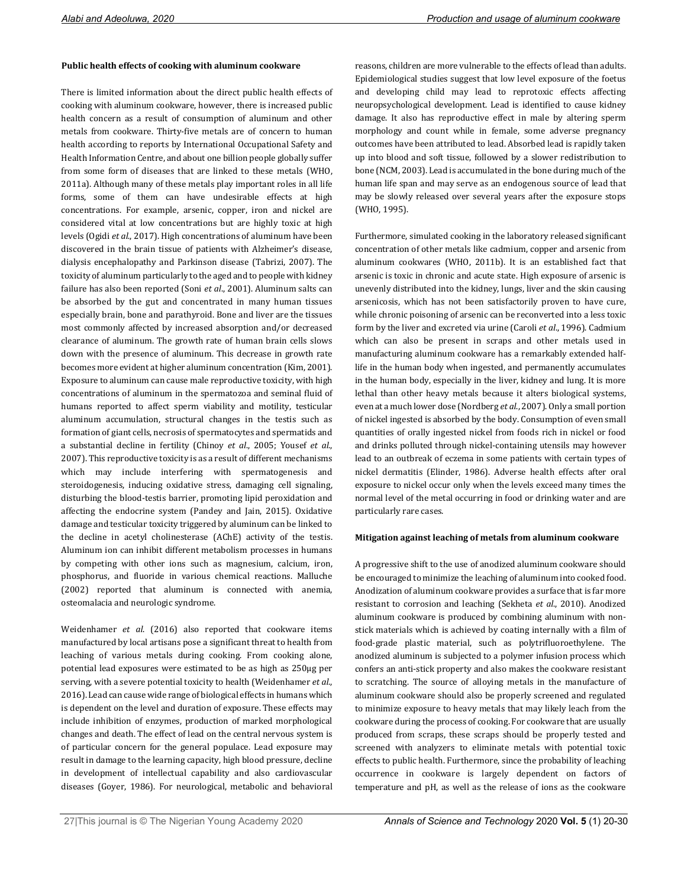## **Public health effects of cooking with aluminum cookware**

There is limited information about the direct public health effects of cooking with aluminum cookware, however, there is increased public health concern as a result of consumption of aluminum and other metals from cookware. Thirty-five metals are of concern to human health according to reports by International Occupational Safety and Health Information Centre, and about one billion people globally suffer from some form of diseases that are linked to these metals (WHO, 2011a). Although many of these metals play important roles in all life forms, some of them can have undesirable effects at high concentrations. For example, arsenic, copper, iron and nickel are considered vital at low concentrations but are highly toxic at high levels (Ogidi *et al*., 2017). High concentrations of aluminum have been discovered in the brain tissue of patients with Alzheimer's disease, dialysis encephalopathy and Parkinson disease (Tabrizi, 2007). The toxicity of aluminum particularly to the aged and to people with kidney failure has also been reported (Soni *et al*., 2001). Aluminum salts can be absorbed by the gut and concentrated in many human tissues especially brain, bone and parathyroid. Bone and liver are the tissues most commonly affected by increased absorption and/or decreased clearance of aluminum. The growth rate of human brain cells slows down with the presence of aluminum. This decrease in growth rate becomes more evident at higher aluminum concentration (Kim, 2001). Exposure to aluminum can cause male reproductive toxicity, with high concentrations of aluminum in the spermatozoa and seminal fluid of humans reported to affect sperm viability and motility, testicular aluminum accumulation, structural changes in the testis such as formation of giant cells, necrosis of spermatocytes and spermatids and a substantial decline in fertility (Chinoy *et al*., 2005; Yousef *et al*., 2007). This reproductive toxicity is as a result of different mechanisms which may include interfering with spermatogenesis and steroidogenesis, inducing oxidative stress, damaging cell signaling, disturbing the blood-testis barrier, promoting lipid peroxidation and affecting the endocrine system (Pandey and Jain, 2015). Oxidative damage and testicular toxicity triggered by aluminum can be linked to the decline in acetyl cholinesterase (AChE) activity of the testis. Aluminum ion can inhibit different metabolism processes in humans by competing with other ions such as magnesium, calcium, iron, phosphorus, and fluoride in various chemical reactions. Malluche (2002) reported that aluminum is connected with anemia, osteomalacia and neurologic syndrome.

Weidenhamer *et al*. (2016) also reported that cookware items manufactured by local artisans pose a significant threat to health from leaching of various metals during cooking. From cooking alone, potential lead exposures were estimated to be as high as 250µg per serving, with a severe potential toxicity to health (Weidenhamer *et al*., 2016). Lead can cause wide range of biological effects in humans which is dependent on the level and duration of exposure. These effects may include inhibition of enzymes, production of marked morphological changes and death. The effect of lead on the central nervous system is of particular concern for the general populace. Lead exposure may result in damage to the learning capacity, high blood pressure, decline in development of intellectual capability and also cardiovascular diseases (Goyer, 1986). For neurological, metabolic and behavioral reasons, children are more vulnerable to the effects of lead than adults. Epidemiological studies suggest that low level exposure of the foetus and developing child may lead to reprotoxic effects affecting neuropsychological development. Lead is identified to cause kidney damage. It also has reproductive effect in male by altering sperm morphology and count while in female, some adverse pregnancy outcomes have been attributed to lead. Absorbed lead is rapidly taken up into blood and soft tissue, followed by a slower redistribution to bone (NCM, 2003). Lead is accumulated in the bone during much of the human life span and may serve as an endogenous source of lead that may be slowly released over several years after the exposure stops (WHO, 1995).

Furthermore, simulated cooking in the laboratory released significant concentration of other metals like cadmium, copper and arsenic from aluminum cookwares (WHO, 2011b). It is an established fact that arsenic is toxic in chronic and acute state. High exposure of arsenic is unevenly distributed into the kidney, lungs, liver and the skin causing arsenicosis, which has not been satisfactorily proven to have cure, while chronic poisoning of arsenic can be reconverted into a less toxic form by the liver and excreted via urine (Caroli *et al*., 1996). Cadmium which can also be present in scraps and other metals used in manufacturing aluminum cookware has a remarkably extended halflife in the human body when ingested, and permanently accumulates in the human body, especially in the liver, kidney and lung. It is more lethal than other heavy metals because it alters biological systems, even at a much lower dose (Nordberg *et al*., 2007). Only a small portion of nickel ingested is absorbed by the body. Consumption of even small quantities of orally ingested nickel from foods rich in nickel or food and drinks polluted through nickel-containing utensils may however lead to an outbreak of eczema in some patients with certain types of nickel dermatitis (Elinder, 1986). Adverse health effects after oral exposure to nickel occur only when the levels exceed many times the normal level of the metal occurring in food or drinking water and are particularly rare cases.

## **Mitigation against leaching of metals from aluminum cookware**

A progressive shift to the use of anodized aluminum cookware should be encouraged to minimize the leaching of aluminum into cooked food. Anodization of aluminum cookware provides a surface that is far more resistant to corrosion and leaching (Sekheta *et al*., 2010). Anodized aluminum cookware is produced by combining aluminum with nonstick materials which is achieved by coating internally with a film of food-grade plastic material, such as polytrifluoroethylene. The anodized aluminum is subjected to a polymer infusion process which confers an anti-stick property and also makes the cookware resistant to scratching. The source of alloying metals in the manufacture of aluminum cookware should also be properly screened and regulated to minimize exposure to heavy metals that may likely leach from the cookware during the process of cooking. For cookware that are usually produced from scraps, these scraps should be properly tested and screened with analyzers to eliminate metals with potential toxic effects to public health. Furthermore, since the probability of leaching occurrence in cookware is largely dependent on factors of temperature and pH, as well as the release of ions as the cookware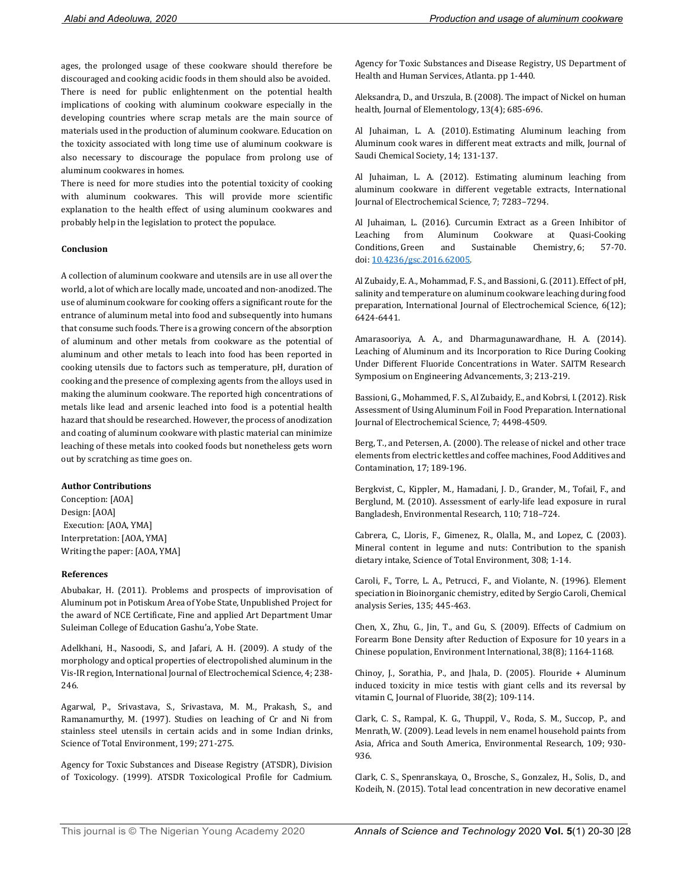ages, the prolonged usage of these cookware should therefore be discouraged and cooking acidic foods in them should also be avoided. There is need for public enlightenment on the potential health implications of cooking with aluminum cookware especially in the developing countries where scrap metals are the main source of materials used in the production of aluminum cookware. Education on the toxicity associated with long time use of aluminum cookware is also necessary to discourage the populace from prolong use of aluminum cookwares in homes.

There is need for more studies into the potential toxicity of cooking with aluminum cookwares. This will provide more scientific explanation to the health effect of using aluminum cookwares and probably help in the legislation to protect the populace.

## **Conclusion**

A collection of aluminum cookware and utensils are in use all over the world, a lot of which are locally made, uncoated and non-anodized. The use of aluminum cookware for cooking offers a significant route for the entrance of aluminum metal into food and subsequently into humans that consume such foods. There is a growing concern of the absorption of aluminum and other metals from cookware as the potential of aluminum and other metals to leach into food has been reported in cooking utensils due to factors such as temperature, pH, duration of cooking and the presence of complexing agents from the alloys used in making the aluminum cookware. The reported high concentrations of metals like lead and arsenic leached into food is a potential health hazard that should be researched. However, the process of anodization and coating of aluminum cookware with plastic material can minimize leaching of these metals into cooked foods but nonetheless gets worn out by scratching as time goes on.

#### **Author Contributions**

Conception: [AOA] Design: [AOA] Execution: [AOA, YMA] Interpretation: [AOA, YMA] Writing the paper: [AOA, YMA]

#### **References**

Abubakar, H. (2011). Problems and prospects of improvisation of Aluminum pot in Potiskum Area of Yobe State, Unpublished Project for the award of NCE Certificate, Fine and applied Art Department Umar Suleiman College of Education Gashu'a, Yobe State.

Adelkhani, H., Nasoodi, S., and Jafari, A. H. (2009). A study of the morphology and optical properties of electropolished aluminum in the Vis-IR region, International Journal of Electrochemical Science, 4; 238- 246.

Agarwal, P., Srivastava, S., Srivastava, M. M., Prakash, S., and Ramanamurthy, M. (1997). Studies on leaching of Cr and Ni from stainless steel utensils in certain acids and in some Indian drinks, Science of Total Environment, 199; 271-275.

Agency for Toxic Substances and Disease Registry (ATSDR), Division of Toxicology. (1999). ATSDR Toxicological Profile for Cadmium. Agency for Toxic Substances and Disease Registry, US Department of Health and Human Services, Atlanta. pp 1-440.

Aleksandra, D., and Urszula, B. (2008). The impact of Nickel on human health*,* Journal of Elementology, 13(4); 685-696.

Al Juhaiman, L. A. (2010). Estimating Aluminum leaching from Aluminum cook wares in different meat extracts and milk, Journal of Saudi Chemical Society, 14; 131-137.

Al Juhaiman, L. A. (2012). Estimating aluminum leaching from aluminum cookware in different vegetable extracts, International Journal of Electrochemical Science, 7; 7283–7294.

Al Juhaiman, L. (2016). Curcumin Extract as a Green Inhibitor of Leaching from Aluminum Cookware at Quasi-Cooking Conditions, Green and Sustainable Chemistry, 6; 57-70. doi: 10.4236/gsc.2016.62005.

Al Zubaidy, E. A., Mohammad, F. S., and Bassioni, G.(2011). Effect of pH, salinity and temperature on aluminum cookware leaching during food preparation, International Journal of Electrochemical Science, 6(12); 6424-6441.

Amarasooriya, A. A., and Dharmagunawardhane, H. A. (2014). Leaching of Aluminum and its Incorporation to Rice During Cooking Under Different Fluoride Concentrations in Water. SAITM Research Symposium on Engineering Advancements, 3; 213-219.

Bassioni, G., Mohammed, F. S., Al Zubaidy, E., and Kobrsi, I. (2012). Risk Assessment of Using Aluminum Foil in Food Preparation. International Journal of Electrochemical Science, 7; 4498-4509.

Berg, T., and Petersen, A. (2000). The release of nickel and other trace elements from electric kettles and coffee machines, Food Additives and Contamination, 17; 189-196.

Bergkvist, C., Kippler, M., Hamadani, J. D., Grander, M., Tofail, F., and Berglund, M. (2010). Assessment of early-life lead exposure in rural Bangladesh, Environmental Research, 110; 718–724.

Cabrera, C., Lloris, F., Gimenez, R., Olalla, M., and Lopez, C. (2003). Mineral content in legume and nuts: Contribution to the spanish dietary intake, Science of Total Environment, 308; 1-14.

Caroli, F., Torre, L. A., Petrucci, F., and Violante, N. (1996). Element speciation in Bioinorganic chemistry, edited by Sergio Caroli, Chemical analysis Series, 135; 445-463.

Chen, X., Zhu, G., Jin, T., and Gu, S. (2009). Effects of Cadmium on Forearm Bone Density after Reduction of Exposure for 10 years in a Chinese population, Environment International, 38(8); 1164-1168.

Chinoy, J., Sorathia, P., and Jhala, D. (2005). Flouride + Aluminum induced toxicity in mice testis with giant cells and its reversal by vitamin C, Journal of Fluoride, 38(2); 109-114.

Clark, C. S., Rampal, K. G., Thuppil, V., Roda, S. M., Succop, P., and Menrath, W. (2009). Lead levels in nem enamel household paints from Asia, Africa and South America, Environmental Research, 109; 930- 936.

Clark, C. S., Spenranskaya, O., Brosche, S., Gonzalez, H., Solis, D., and Kodeih, N. (2015). Total lead concentration in new decorative enamel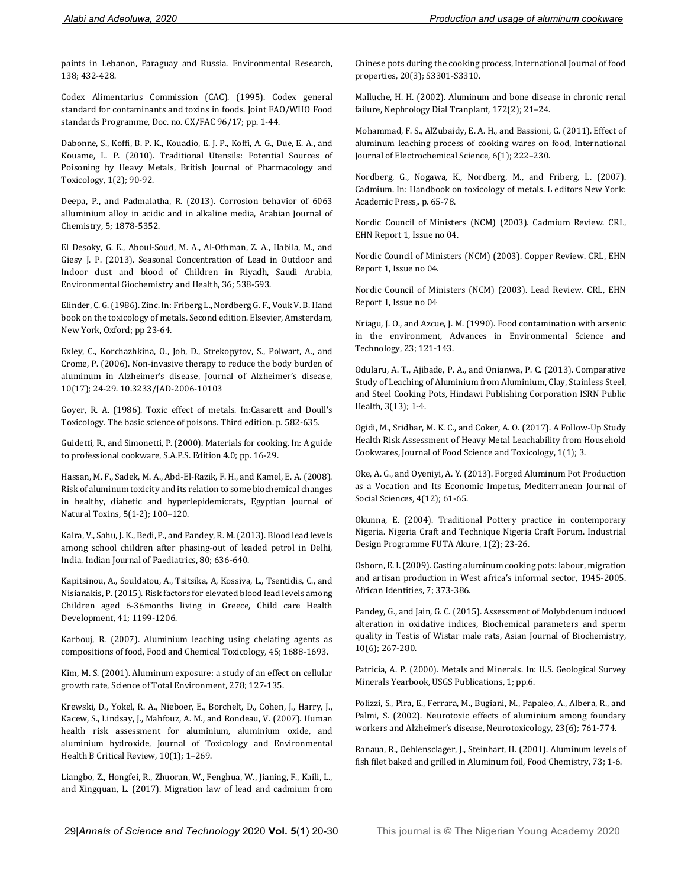paints in Lebanon, Paraguay and Russia. Environmental Research, 138; 432-428.

Codex Alimentarius Commission (CAC). (1995). Codex general standard for contaminants and toxins in foods. Joint FAO/WHO Food standards Programme, Doc. no. CX/FAC 96/17; pp. 1-44.

Dabonne, S., Koffi, B. P. K., Kouadio, E. J. P., Koffi, A. G., Due, E. A., and Kouame, L. P. (2010). Traditional Utensils: Potential Sources of Poisoning by Heavy Metals, British Journal of Pharmacology and Toxicology, 1(2); 90-92.

Deepa, P., and Padmalatha, R. (2013). Corrosion behavior of 6063 alluminium alloy in acidic and in alkaline media, Arabian Journal of Chemistry, 5; 1878-5352.

El Desoky, G. E., Aboul-Soud, M. A., Al-Othman, Z. A., Habila, M., and Giesy J. P. (2013). Seasonal Concentration of Lead in Outdoor and Indoor dust and blood of Children in Riyadh, Saudi Arabia, Environmental Giochemistry and Health, 36; 538-593.

Elinder, C. G. (1986). Zinc. In: Friberg L., Nordberg G. F., Vouk V. B. Hand book on the toxicology of metals. Second edition. Elsevier, Amsterdam, New York, Oxford; pp 23-64.

Exley, C., Korchazhkina, O., Job, D., Strekopytov, S., Polwart, A., and Crome, P. (2006). Non-invasive therapy to reduce the body burden of aluminum in Alzheimer's disease, Journal of Alzheimer's disease, 10(17); 24-29. 10.3233/JAD-2006-10103

Goyer, R. A. (1986). Toxic effect of metals. In:Casarett and Doull's Toxicology. The basic science of poisons. Third edition. p. 582-635.

Guidetti, R., and Simonetti, P. (2000). Materials for cooking. In: A guide to professional cookware, S.A.P.S. Edition 4.0; pp. 16-29.

Hassan, M. F., Sadek, M. A., Abd-El-Razik, F. H., and Kamel, E. A. (2008). Risk of aluminum toxicity and its relation to some biochemical changes in healthy, diabetic and hyperlepidemicrats, Egyptian Journal of Natural Toxins, 5(1-2); 100–120.

Kalra, V., Sahu, J. K., Bedi, P., and Pandey, R. M. (2013). Blood lead levels among school children after phasing-out of leaded petrol in Delhi, India. Indian Journal of Paediatrics, 80; 636-640.

Kapitsinou, A., Souldatou, A., Tsitsika, A, Kossiva, L., Tsentidis, C., and Nisianakis, P. (2015). Risk factors for elevated blood lead levels among Children aged 6-36months living in Greece, Child care Health Development, 41; 1199-1206.

Karbouj, R. (2007). Aluminium leaching using chelating agents as compositions of food, Food and Chemical Toxicology*,* 45; 1688-1693.

Kim, M. S. (2001). Aluminum exposure: a study of an effect on cellular growth rate, Science of Total Environment, 278; 127-135.

Krewski, D., Yokel, R. A., Nieboer, E., Borchelt, D., Cohen, J., Harry, J., Kacew, S., Lindsay, J., Mahfouz, A. M., and Rondeau, V. (2007). Human health risk assessment for aluminium, aluminium oxide, and aluminium hydroxide, Journal of Toxicology and Environmental Health B Critical Review, 10(1); 1–269.

Liangbo, Z., Hongfei, R., Zhuoran, W., Fenghua, W., Jianing, F., Kaili, L., and Xingquan, L. (2017). Migration law of lead and cadmium from Chinese pots during the cooking process, International Journal of food properties, 20(3); S3301-S3310.

Malluche, H. H. (2002). Aluminum and bone disease in chronic renal failure, Nephrology Dial Tranplant, 172(2); 21–24.

Mohammad, F. S., AlZubaidy, E. A. H., and Bassioni, G. (2011). Effect of aluminum leaching process of cooking wares on food, International Journal of Electrochemical Science, 6(1); 222–230.

Nordberg, G., Nogawa, K., Nordberg, M., and Friberg, L. (2007). Cadmium. In: Handbook on toxicology of metals. L editors New York: Academic Press,. p. 65-78.

Nordic Council of Ministers (NCM) (2003). Cadmium Review. CRL, EHN Report 1, Issue no 04.

Nordic Council of Ministers (NCM) (2003). Copper Review. CRL, EHN Report 1, Issue no 04.

Nordic Council of Ministers (NCM) (2003). Lead Review. CRL, EHN Report 1, Issue no 04

Nriagu, J. O., and Azcue, J. M. (1990). Food contamination with arsenic in the environment, Advances in Environmental Science and Technology, 23; 121-143.

Odularu, A. T., Ajibade, P. A., and Onianwa, P. C. (2013). Comparative Study of Leaching of Aluminium from Aluminium, Clay, Stainless Steel, and Steel Cooking Pots, Hindawi Publishing Corporation ISRN Public Health, 3(13); 1-4.

Ogidi, M., Sridhar, M. K. C., and Coker, A. O. (2017). A Follow-Up Study Health Risk Assessment of Heavy Metal Leachability from Household Cookwares, Journal of Food Science and Toxicology, 1(1); 3.

Oke, A. G., and Oyeniyi, A. Y. (2013). Forged Aluminum Pot Production as a Vocation and Its Economic Impetus, Mediterranean Journal of Social Sciences*,* 4(12); 61-65.

Okunna, E. (2004). Traditional Pottery practice in contemporary Nigeria. Nigeria Craft and Technique Nigeria Craft Forum. Industrial Design Programme FUTA Akure, 1(2); 23-26.

Osborn, E. I. (2009). Casting aluminum cooking pots: labour, migration and artisan production in West africa's informal sector, 1945-2005. African Identities, 7; 373-386.

Pandey, G., and Jain, G. C. (2015). Assessment of Molybdenum induced alteration in oxidative indices, Biochemical parameters and sperm quality in Testis of Wistar male rats, Asian Journal of Biochemistry, 10(6); 267-280.

Patricia, A. P. (2000). Metals and Minerals. In: U.S. Geological Survey Minerals Yearbook, USGS Publications, 1; pp.6.

Polizzi, S., Pira, E., Ferrara, M., Bugiani, M., Papaleo, A., Albera, R., and Palmi, S. (2002). Neurotoxic effects of aluminium among foundary workers and Alzheimer's disease, Neurotoxicology, 23(6); 761-774.

Ranaua, R., Oehlensclager, J., Steinhart, H. (2001). Aluminum levels of fish filet baked and grilled in Aluminum foil, Food Chemistry, 73; 1-6.